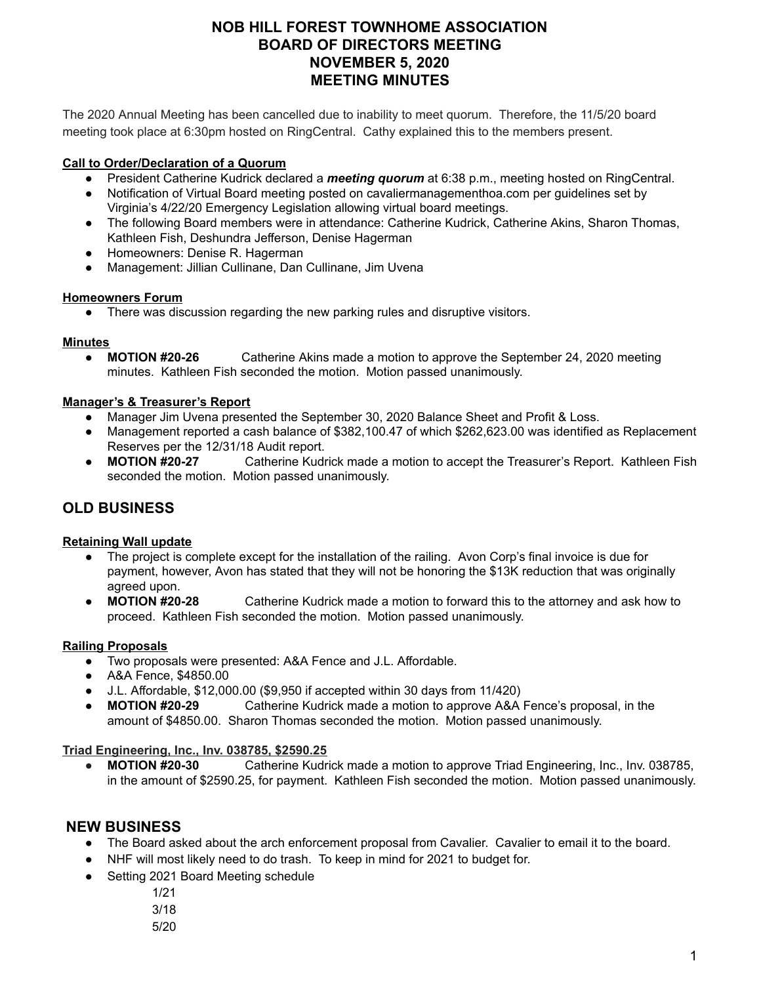# **NOB HILL FOREST TOWNHOME ASSOCIATION BOARD OF DIRECTORS MEETING NOVEMBER 5, 2020 MEETING MINUTES**

The 2020 Annual Meeting has been cancelled due to inability to meet quorum. Therefore, the 11/5/20 board meeting took place at 6:30pm hosted on RingCentral. Cathy explained this to the members present.

### **Call to Order/Declaration of a Quorum**

- President Catherine Kudrick declared a *meeting quorum* at 6:38 p.m., meeting hosted on RingCentral.
- Notification of Virtual Board meeting posted on cavaliermanagementhoa.com per guidelines set by Virginia's 4/22/20 Emergency Legislation allowing virtual board meetings.
- The following Board members were in attendance: Catherine Kudrick, Catherine Akins, Sharon Thomas, Kathleen Fish, Deshundra Jefferson, Denise Hagerman
- Homeowners: Denise R. Hagerman
- Management: Jillian Cullinane, Dan Cullinane, Jim Uvena

#### **Homeowners Forum**

There was discussion regarding the new parking rules and disruptive visitors.

### **Minutes**

● **MOTION #20-26** Catherine Akins made a motion to approve the September 24, 2020 meeting minutes. Kathleen Fish seconded the motion. Motion passed unanimously.

### **Manager's & Treasurer's Report**

- Manager Jim Uvena presented the September 30, 2020 Balance Sheet and Profit & Loss.
- Management reported a cash balance of \$382,100.47 of which \$262,623.00 was identified as Replacement Reserves per the 12/31/18 Audit report.
- **MOTION #20-27** Catherine Kudrick made a motion to accept the Treasurer's Report. Kathleen Fish seconded the motion. Motion passed unanimously.

# **OLD BUSINESS**

## **Retaining Wall update**

- The project is complete except for the installation of the railing. Avon Corp's final invoice is due for payment, however, Avon has stated that they will not be honoring the \$13K reduction that was originally agreed upon.
- **MOTION #20-28** Catherine Kudrick made a motion to forward this to the attorney and ask how to proceed. Kathleen Fish seconded the motion. Motion passed unanimously.

## **Railing Proposals**

- Two proposals were presented: A&A Fence and J.L. Affordable.
- A&A Fence, \$4850.00
- J.L. Affordable, \$12,000.00 (\$9,950 if accepted within 30 days from 11/420)
- **MOTION #20-29** Catherine Kudrick made a motion to approve A&A Fence's proposal, in the amount of \$4850.00. Sharon Thomas seconded the motion. Motion passed unanimously.

## **Triad Engineering, Inc., Inv. 038785, \$2590.25**

● **MOTION #20-30** Catherine Kudrick made a motion to approve Triad Engineering, Inc., Inv. 038785, in the amount of \$2590.25, for payment. Kathleen Fish seconded the motion. Motion passed unanimously.

# **NEW BUSINESS**

- The Board asked about the arch enforcement proposal from Cavalier. Cavalier to email it to the board.
- NHF will most likely need to do trash. To keep in mind for 2021 to budget for.
- Setting 2021 Board Meeting schedule
	- 1/21
	- 3/18
	- 5/20